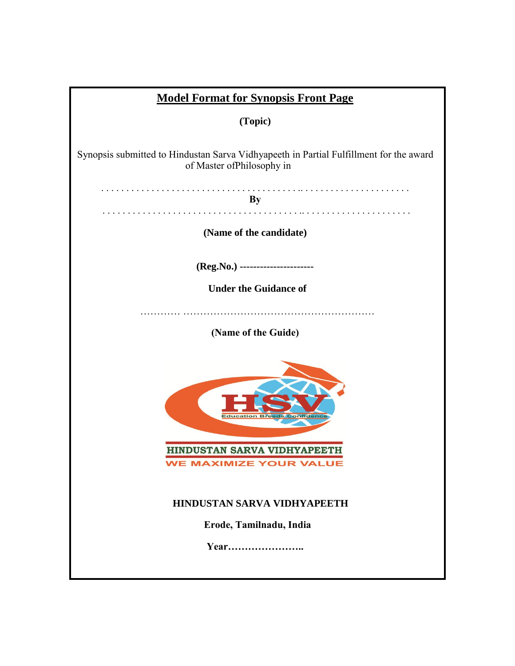| <b>Model Format for Synopsis Front Page</b>                                                                          |  |  |  |  |  |  |
|----------------------------------------------------------------------------------------------------------------------|--|--|--|--|--|--|
| (Topic)                                                                                                              |  |  |  |  |  |  |
| Synopsis submitted to Hindustan Sarva Vidhyapeeth in Partial Fulfillment for the award<br>of Master of Philosophy in |  |  |  |  |  |  |
| <b>By</b>                                                                                                            |  |  |  |  |  |  |
| (Name of the candidate)                                                                                              |  |  |  |  |  |  |
| (Reg.No.) ----------------------                                                                                     |  |  |  |  |  |  |
| <b>Under the Guidance of</b>                                                                                         |  |  |  |  |  |  |
|                                                                                                                      |  |  |  |  |  |  |
| (Name of the Guide)                                                                                                  |  |  |  |  |  |  |
| HINDUSTAN SARVA VIDHYAPEETH<br><b>WE MAXIMIZE YOUR VALUE</b>                                                         |  |  |  |  |  |  |
| <b>HINDUSTAN SARVA VIDHYAPEETH</b><br>Erode, Tamilnadu, India                                                        |  |  |  |  |  |  |
| Year                                                                                                                 |  |  |  |  |  |  |
|                                                                                                                      |  |  |  |  |  |  |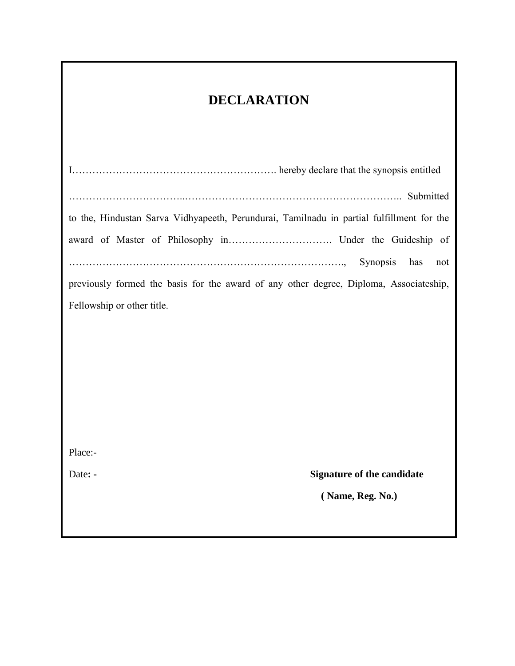## **DECLARATION**

I……………………………………………………. hereby declare that the synopsis entitled ……………………………..……………………………………………………….. Submitted to the, Hindustan Sarva Vidhyapeeth, Perundurai, Tamilnadu in partial fulfillment for the award of Master of Philosophy in…………………………. Under the Guideship of ………………………………………………………………………., Synopsis has not previously formed the basis for the award of any other degree, Diploma, Associateship, Fellowship or other title. Place:- Date: **- Signature of the candidate ( Name, Reg. No.)**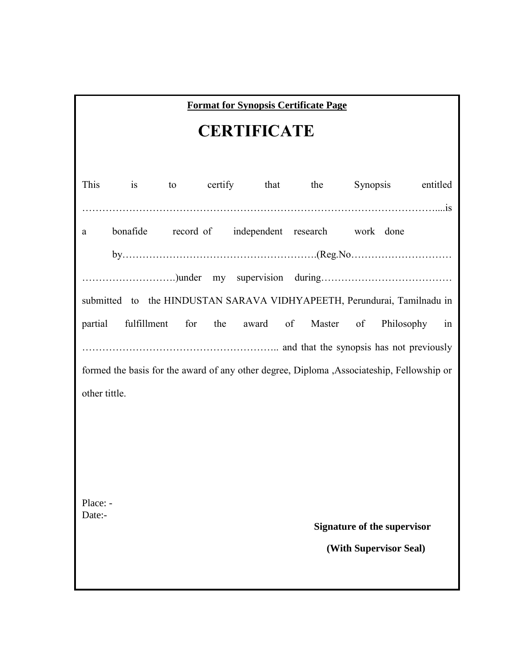| <b>Format for Synopsis Certificate Page</b>                                                |    |    |                                                              |  |  |                  |          |                                    |          |  |
|--------------------------------------------------------------------------------------------|----|----|--------------------------------------------------------------|--|--|------------------|----------|------------------------------------|----------|--|
| <b>CERTIFICATE</b>                                                                         |    |    |                                                              |  |  |                  |          |                                    |          |  |
|                                                                                            |    |    |                                                              |  |  |                  |          |                                    |          |  |
| This                                                                                       | is | to |                                                              |  |  | certify that the | Synopsis |                                    | entitled |  |
| a                                                                                          |    |    | bonafide record of independent research work done            |  |  |                  |          |                                    |          |  |
|                                                                                            |    |    |                                                              |  |  |                  |          |                                    |          |  |
|                                                                                            |    |    |                                                              |  |  |                  |          |                                    |          |  |
| submitted to the HINDUSTAN SARAVA VIDHYAPEETH, Perundurai, Tamilnadu in                    |    |    |                                                              |  |  |                  |          |                                    |          |  |
|                                                                                            |    |    | partial fulfillment for the award of Master of Philosophy in |  |  |                  |          |                                    |          |  |
|                                                                                            |    |    |                                                              |  |  |                  |          |                                    |          |  |
|                                                                                            |    |    |                                                              |  |  |                  |          |                                    |          |  |
| formed the basis for the award of any other degree, Diploma , Associateship, Fellowship or |    |    |                                                              |  |  |                  |          |                                    |          |  |
| other tittle.                                                                              |    |    |                                                              |  |  |                  |          |                                    |          |  |
|                                                                                            |    |    |                                                              |  |  |                  |          |                                    |          |  |
|                                                                                            |    |    |                                                              |  |  |                  |          |                                    |          |  |
|                                                                                            |    |    |                                                              |  |  |                  |          |                                    |          |  |
|                                                                                            |    |    |                                                              |  |  |                  |          |                                    |          |  |
|                                                                                            |    |    |                                                              |  |  |                  |          |                                    |          |  |
| Place: -<br>Date:-                                                                         |    |    |                                                              |  |  |                  |          |                                    |          |  |
|                                                                                            |    |    |                                                              |  |  |                  |          | <b>Signature of the supervisor</b> |          |  |
|                                                                                            |    |    |                                                              |  |  |                  |          | (With Supervisor Seal)             |          |  |
|                                                                                            |    |    |                                                              |  |  |                  |          |                                    |          |  |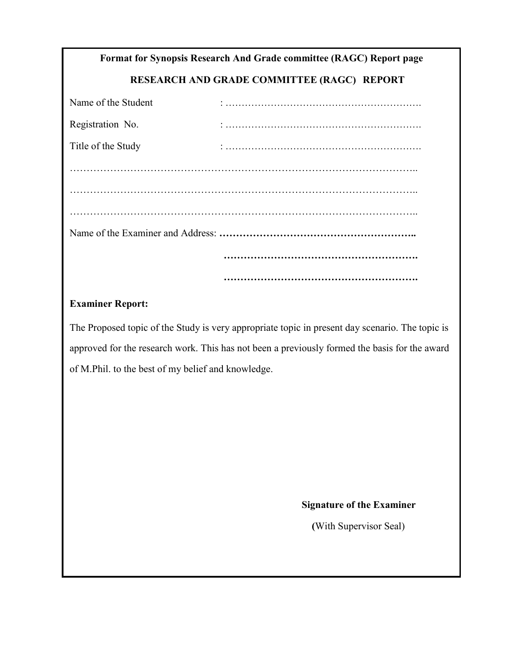# **Format for Synopsis Research And Grade committee (RAGC) Report page**

### **RESEARCH AND GRADE COMMITTEE (RAGC) REPORT**

| Name of the Student |  |  |  |  |  |  |
|---------------------|--|--|--|--|--|--|
| Registration No.    |  |  |  |  |  |  |
| Title of the Study  |  |  |  |  |  |  |
|                     |  |  |  |  |  |  |
|                     |  |  |  |  |  |  |
|                     |  |  |  |  |  |  |
|                     |  |  |  |  |  |  |
|                     |  |  |  |  |  |  |
|                     |  |  |  |  |  |  |

#### **Examiner Report:**

The Proposed topic of the Study is very appropriate topic in present day scenario. The topic is approved for the research work. This has not been a previously formed the basis for the award of M.Phil. to the best of my belief and knowledge.

#### **Signature of the Examiner**

**(**With Supervisor Seal)